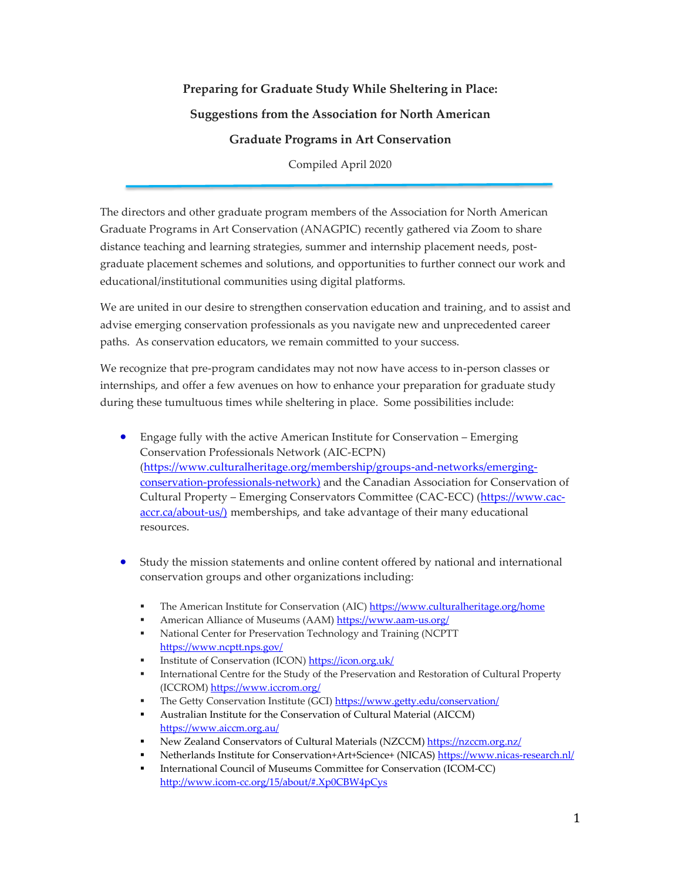## **Preparing for Graduate Study While Sheltering in Place: Suggestions from the Association for North American Graduate Programs in Art Conservation**

Compiled April 2020

The directors and other graduate program members of the Association for North American Graduate Programs in Art Conservation (ANAGPIC) recently gathered via Zoom to share distance teaching and learning strategies, summer and internship placement needs, postgraduate placement schemes and solutions, and opportunities to further connect our work and educational/institutional communities using digital platforms.

We are united in our desire to strengthen conservation education and training, and to assist and advise emerging conservation professionals as you navigate new and unprecedented career paths. As conservation educators, we remain committed to your success.

We recognize that pre-program candidates may not now have access to in-person classes or internships, and offer a few avenues on how to enhance your preparation for graduate study during these tumultuous times while sheltering in place. Some possibilities include:

- Engage fully with the active American Institute for Conservation Emerging Conservation Professionals Network (AIC-ECPN) [\(https://www.culturalheritage.org/membership/groups-and-networks/emerging](https://www.culturalheritage.org/membership/groups-and-networks/emerging-conservation-professionals-network)[conservation-professionals-network\)](https://www.culturalheritage.org/membership/groups-and-networks/emerging-conservation-professionals-network) and the Canadian Association for Conservation of Cultural Property – Emerging Conservators Committee (CAC-ECC) [\(https://www.cac](https://www.cac-accr.ca/about-us/)[accr.ca/about-us/\)](https://www.cac-accr.ca/about-us/) memberships, and take advantage of their many educational resources.
- Study the mission statements and online content offered by national and international conservation groups and other organizations including:
	- The American Institute for Conservation (AIC) <https://www.culturalheritage.org/home>
	- American Alliance of Museums (AAM)<https://www.aam-us.org/>
	- National Center for Preservation Technology and Training (NCPTT <https://www.ncptt.nps.gov/>
	- Institute of Conservation (ICON[\) https://icon.org.uk/](https://icon.org.uk/)
	- International Centre for the Study of the Preservation and Restoration of Cultural Property (ICCROM[\) https://www.iccrom.org/](https://www.iccrom.org/)
	- The Getty Conservation Institute (GCI)<https://www.getty.edu/conservation/>
	- Australian Institute for the Conservation of Cultural Material (AICCM) <https://www.aiccm.org.au/>
	- [New Zealand Conservators of Cultural Materials](https://nzccm.org.nz/) (NZCCM[\) https://nzccm.org.nz/](https://nzccm.org.nz/)
	- Netherlands Institute for Conservation+Art+Science+ (NICAS)<https://www.nicas-research.nl/>
	- International Council of Museums Committee for Conservation (ICOM-CC) <http://www.icom-cc.org/15/about/#.Xp0CBW4pCys>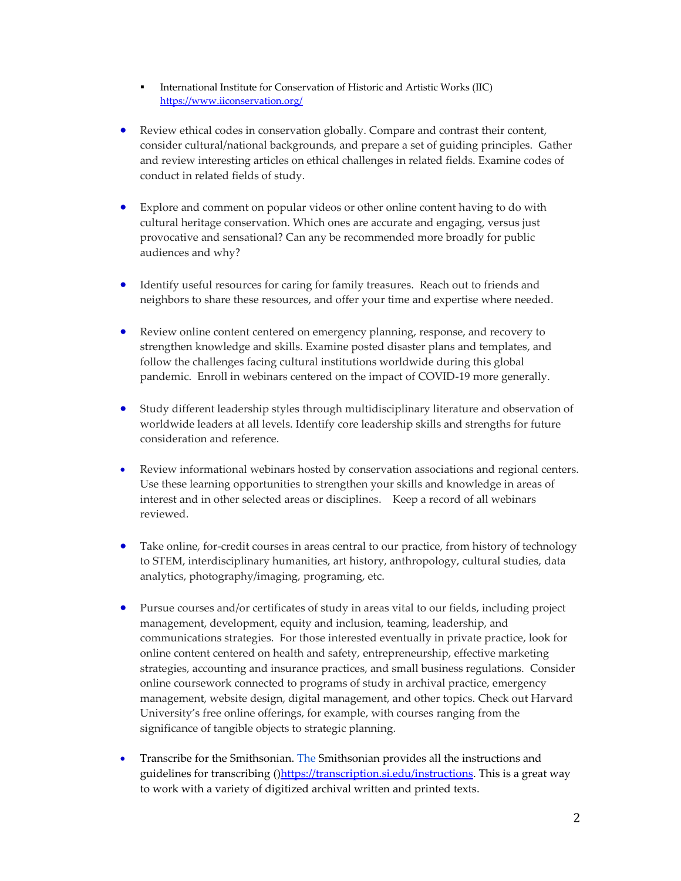- **International Institute for Conservation of Historic and Artistic Works (IIC)** <https://www.iiconservation.org/>
- Review ethical codes in conservation globally. Compare and contrast their content, consider cultural/national backgrounds, and prepare a set of guiding principles. Gather and review interesting articles on ethical challenges in related fields. Examine codes of conduct in related fields of study.
- Explore and comment on popular videos or other online content having to do with cultural heritage conservation. Which ones are accurate and engaging, versus just provocative and sensational? Can any be recommended more broadly for public audiences and why?
- Identify useful resources for caring for family treasures. Reach out to friends and neighbors to share these resources, and offer your time and expertise where needed.
- Review online content centered on emergency planning, response, and recovery to strengthen knowledge and skills. Examine posted disaster plans and templates, and follow the challenges facing cultural institutions worldwide during this global pandemic. Enroll in webinars centered on the impact of COVID-19 more generally.
- Study different leadership styles through multidisciplinary literature and observation of worldwide leaders at all levels. Identify core leadership skills and strengths for future consideration and reference.
- Review informational webinars hosted by conservation associations and regional centers. Use these learning opportunities to strengthen your skills and knowledge in areas of interest and in other selected areas or disciplines. Keep a record of all webinars reviewed.
- Take online, for-credit courses in areas central to our practice, from history of technology to STEM, interdisciplinary humanities, art history, anthropology, cultural studies, data analytics, photography/imaging, programing, etc.
- Pursue courses and/or certificates of study in areas vital to our fields, including project management, development, equity and inclusion, teaming, leadership, and communications strategies. For those interested eventually in private practice, look for online content centered on health and safety, entrepreneurship, effective marketing strategies, accounting and insurance practices, and small business regulations. Consider online coursework connected to programs of study in archival practice, emergency management, website design, digital management, and other topics. Check out Harvard University's free online offerings, for example, with courses ranging from the significance of tangible objects to strategic planning.
- Transcribe for the Smithsonian. The Smithsonian provides all the instructions and guidelines for transcribing ([\)https://transcription.si.edu/instructions.](https://transcription.si.edu/instructions) This is a great way to work with a variety of digitized archival written and printed texts.